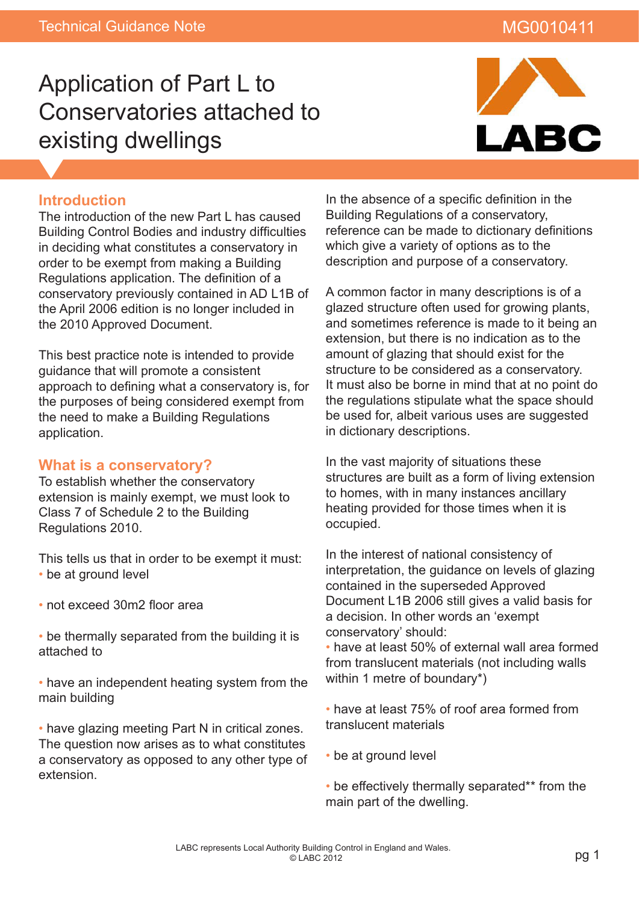# MG0010411

# Application of Part L to Conservatories attached to existing dwellings



#### **Introduction**

The introduction of the new Part L has caused Building Control Bodies and industry difficulties in deciding what constitutes a conservatory in order to be exempt from making a Building Regulations application. The definition of a conservatory previously contained in AD L1B of the April 2006 edition is no longer included in the 2010 Approved Document.

This best practice note is intended to provide guidance that will promote a consistent approach to defining what a conservatory is, for the purposes of being considered exempt from the need to make a Building Regulations application.

#### **What is a conservatory?**

To establish whether the conservatory extension is mainly exempt, we must look to Class 7 of Schedule 2 to the Building Regulations 2010.

This tells us that in order to be exempt it must: • be at ground level

- not exceed 30m2 floor area
- be thermally separated from the building it is attached to
- have an independent heating system from the main building

• have glazing meeting Part N in critical zones. The question now arises as to what constitutes a conservatory as opposed to any other type of extension.

In the absence of a specific definition in the Building Regulations of a conservatory, reference can be made to dictionary definitions which give a variety of options as to the description and purpose of a conservatory.

A common factor in many descriptions is of a glazed structure often used for growing plants, and sometimes reference is made to it being an extension, but there is no indication as to the amount of glazing that should exist for the structure to be considered as a conservatory. It must also be borne in mind that at no point do the regulations stipulate what the space should be used for, albeit various uses are suggested in dictionary descriptions.

In the vast majority of situations these structures are built as a form of living extension to homes, with in many instances ancillary heating provided for those times when it is occupied.

In the interest of national consistency of interpretation, the guidance on levels of glazing contained in the superseded Approved Document L1B 2006 still gives a valid basis for a decision. In other words an 'exempt conservatory' should:

• have at least 50% of external wall area formed from translucent materials (not including walls within 1 metre of boundary\*)

• have at least 75% of roof area formed from translucent materials

- be at ground level
- be effectively thermally separated\*\* from the main part of the dwelling.